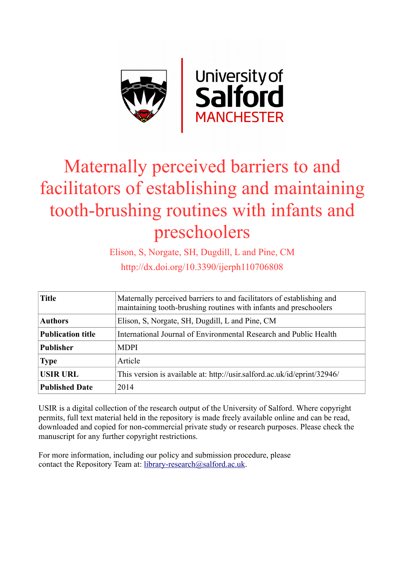

# Maternally perceived barriers to and facilitators of establishing and maintaining tooth-brushing routines with infants and preschoolers

Elison, S, Norgate, SH, Dugdill, L and Pine, CM http://dx.doi.org/10.3390/ijerph110706808

| <b>Title</b>             | Maternally perceived barriers to and facilitators of establishing and<br>maintaining tooth-brushing routines with infants and preschoolers |
|--------------------------|--------------------------------------------------------------------------------------------------------------------------------------------|
| <b>Authors</b>           | Elison, S. Norgate, SH, Dugdill, L and Pine, CM                                                                                            |
| <b>Publication title</b> | International Journal of Environmental Research and Public Health                                                                          |
| <b>Publisher</b>         | <b>MDPI</b>                                                                                                                                |
| <b>Type</b>              | Article                                                                                                                                    |
| <b>USIR URL</b>          | This version is available at: http://usir.salford.ac.uk/id/eprint/32946/                                                                   |
| <b>Published Date</b>    | 2014                                                                                                                                       |

USIR is a digital collection of the research output of the University of Salford. Where copyright permits, full text material held in the repository is made freely available online and can be read, downloaded and copied for non-commercial private study or research purposes. Please check the manuscript for any further copyright restrictions.

For more information, including our policy and submission procedure, please contact the Repository Team at: [library-research@salford.ac.uk.](mailto:library-research@salford.ac.uk)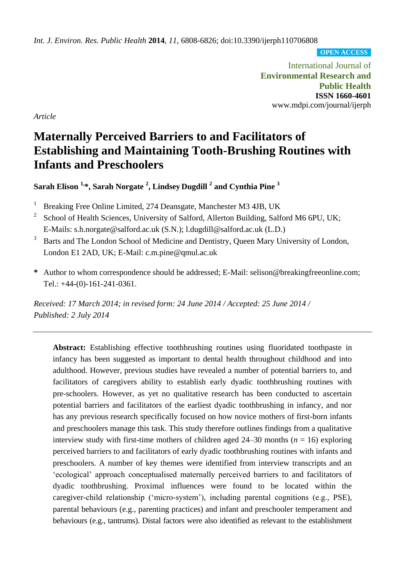*Int. J. Environ. Res. Public Health* **2014**, *11*, 6808-6826; doi:10.3390/ijerph110706808

**OPEN ACCESS**

International Journal of **Environmental Research and Public Health ISSN 1660-4601** www.mdpi.com/journal/ijerph

*Article*

## **Maternally Perceived Barriers to and Facilitators of Establishing and Maintaining Tooth-Brushing Routines with Infants and Preschoolers**

**Sarah Elison 1,\*, Sarah Norgate <sup>2</sup> , Lindsey Dugdill <sup>2</sup> and Cynthia Pine <sup>3</sup>**

- <sup>1</sup> Breaking Free Online Limited, 274 Deansgate, Manchester M3 4JB, UK
- 2 School of Health Sciences, University of Salford, Allerton Building, Salford M6 6PU, UK; E-Mails: s.h.norgate@salford.ac.uk (S.N.); l.dugdill@salford.ac.uk (L.D.)
- <sup>3</sup> Barts and The London School of Medicine and Dentistry, Queen Mary University of London, London E1 2AD, UK; E-Mail: c.m.pine@qmul.ac.uk
- **\*** Author to whom correspondence should be addressed; E-Mail: selison@breakingfreeonline.com; Tel.: +44-(0)-161-241-0361.

*Received: 17 March 2014; in revised form: 24 June 2014 / Accepted: 25 June 2014 / Published: 2 July 2014*

**Abstract:** Establishing effective toothbrushing routines using fluoridated toothpaste in infancy has been suggested as important to dental health throughout childhood and into adulthood. However, previous studies have revealed a number of potential barriers to, and facilitators of caregivers ability to establish early dyadic toothbrushing routines with pre-schoolers. However, as yet no qualitative research has been conducted to ascertain potential barriers and facilitators of the earliest dyadic toothbrushing in infancy, and nor has any previous research specifically focused on how novice mothers of first-born infants and preschoolers manage this task. This study therefore outlines findings from a qualitative interview study with first-time mothers of children aged 24–30 months (*n* = 16) exploring perceived barriers to and facilitators of early dyadic toothbrushing routines with infants and preschoolers. A number of key themes were identified from interview transcripts and an 'ecological' approach conceptualised maternally perceived barriers to and facilitators of dyadic toothbrushing. Proximal influences were found to be located within the caregiver-child relationship ('micro-system'), including parental cognitions (e.g., PSE), parental behaviours (e.g., parenting practices) and infant and preschooler temperament and behaviours (e.g., tantrums). Distal factors were also identified as relevant to the establishment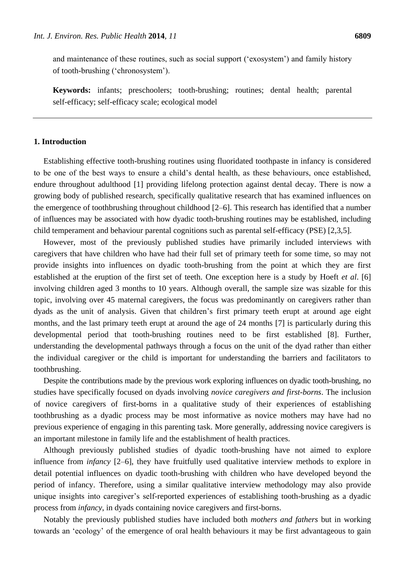and maintenance of these routines, such as social support ('exosystem') and family history of tooth-brushing ('chronosystem').

**Keywords:** infants; preschoolers; tooth-brushing; routines; dental health; parental self-efficacy; self-efficacy scale; ecological model

## **1. Introduction**

Establishing effective tooth-brushing routines using fluoridated toothpaste in infancy is considered to be one of the best ways to ensure a child's dental health, as these behaviours, once established, endure throughout adulthood [1] providing lifelong protection against dental decay. There is now a growing body of published research, specifically qualitative research that has examined influences on the emergence of toothbrushing throughout childhood [2–6]. This research has identified that a number of influences may be associated with how dyadic tooth-brushing routines may be established, including child temperament and behaviour parental cognitions such as parental self-efficacy (PSE) [2,3,5].

However, most of the previously published studies have primarily included interviews with caregivers that have children who have had their full set of primary teeth for some time, so may not provide insights into influences on dyadic tooth-brushing from the point at which they are first established at the eruption of the first set of teeth. One exception here is a study by Hoeft *et al*. [6] involving children aged 3 months to 10 years. Although overall, the sample size was sizable for this topic, involving over 45 maternal caregivers, the focus was predominantly on caregivers rather than dyads as the unit of analysis. Given that children's first primary teeth erupt at around age eight months, and the last primary teeth erupt at around the age of 24 months [7] is particularly during this developmental period that tooth-brushing routines need to be first established [8]. Further, understanding the developmental pathways through a focus on the unit of the dyad rather than either the individual caregiver or the child is important for understanding the barriers and facilitators to toothbrushing.

Despite the contributions made by the previous work exploring influences on dyadic tooth-brushing, no studies have specifically focused on dyads involving *novice caregivers and first-borns*. The inclusion of novice caregivers of first-borns in a qualitative study of their experiences of establishing toothbrushing as a dyadic process may be most informative as novice mothers may have had no previous experience of engaging in this parenting task. More generally, addressing novice caregivers is an important milestone in family life and the establishment of health practices.

Although previously published studies of dyadic tooth-brushing have not aimed to explore influence from *infancy* [2–6], they have fruitfully used qualitative interview methods to explore in detail potential influences on dyadic tooth-brushing with children who have developed beyond the period of infancy. Therefore, using a similar qualitative interview methodology may also provide unique insights into caregiver's self-reported experiences of establishing tooth-brushing as a dyadic process from *infancy*, in dyads containing novice caregivers and first-borns.

Notably the previously published studies have included both *mothers and fathers* but in working towards an 'ecology' of the emergence of oral health behaviours it may be first advantageous to gain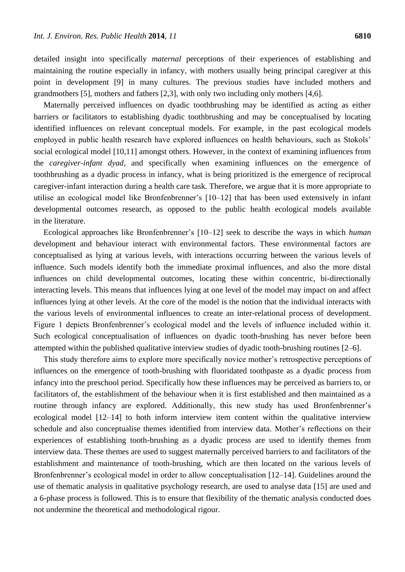detailed insight into specifically *maternal* perceptions of their experiences of establishing and maintaining the routine especially in infancy, with mothers usually being principal caregiver at this point in development [9] in many cultures. The previous studies have included mothers and grandmothers [5], mothers and fathers [2,3], with only two including only mothers [4,6].

Maternally perceived influences on dyadic toothbrushing may be identified as acting as either barriers or facilitators to establishing dyadic toothbrushing and may be conceptualised by locating identified influences on relevant conceptual models. For example, in the past ecological models employed in public health research have explored influences on health behaviours, such as Stokols' social ecological model [10,11] amongst others. However, in the context of examining influences from the *caregiver-infant dyad,* and specifically when examining influences on the emergence of toothbrushing as a dyadic process in infancy, what is being prioritized is the emergence of reciprocal caregiver-infant interaction during a health care task. Therefore, we argue that it is more appropriate to utilise an ecological model like Bronfenbrenner's [10–12] that has been used extensively in infant developmental outcomes research, as opposed to the public health ecological models available in the literature.

Ecological approaches like Bronfenbrenner's [10–12] seek to describe the ways in which *human*  development and behaviour interact with environmental factors. These environmental factors are conceptualised as lying at various levels, with interactions occurring between the various levels of influence. Such models identify both the immediate proximal influences, and also the more distal influences on child developmental outcomes, locating these within concentric, bi-directionally interacting levels. This means that influences lying at one level of the model may impact on and affect influences lying at other levels. At the core of the model is the notion that the individual interacts with the various levels of environmental influences to create an inter-relational process of development. Figure 1 depicts Bronfenbrenner's ecological model and the levels of influence included within it. Such ecological conceptualisation of influences on dyadic tooth-brushing has never before been attempted within the published qualitative interview studies of dyadic tooth-brushing routines [2–6].

This study therefore aims to explore more specifically novice mother's retrospective perceptions of influences on the emergence of tooth-brushing with fluoridated toothpaste as a dyadic process from infancy into the preschool period. Specifically how these influences may be perceived as barriers to, or facilitators of, the establishment of the behaviour when it is first established and then maintained as a routine through infancy are explored. Additionally, this new study has used Bronfenbrenner's ecological model [12–14] to both inform interview item content within the qualitative interview schedule and also conceptualise themes identified from interview data. Mother's reflections on their experiences of establishing tooth-brushing as a dyadic process are used to identify themes from interview data. These themes are used to suggest maternally perceived barriers to and facilitators of the establishment and maintenance of tooth-brushing, which are then located on the various levels of Bronfenbrenner's ecological model in order to allow conceptualisation [12–14]. Guidelines around the use of thematic analysis in qualitative psychology research, are used to analyse data [15] are used and a 6-phase process is followed. This is to ensure that flexibility of the thematic analysis conducted does not undermine the theoretical and methodological rigour.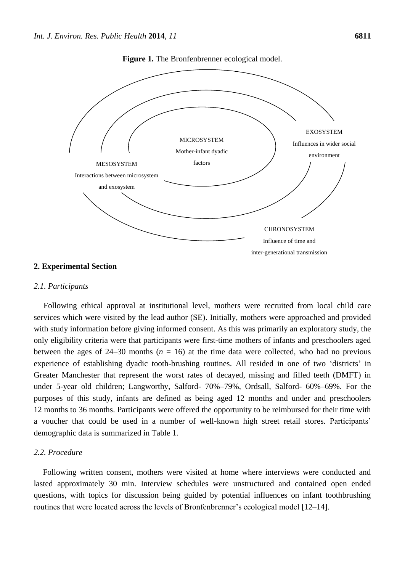

**Figure 1.** The Bronfenbrenner ecological model.

#### **2. Experimental Section**

## *2.1. Participants*

Following ethical approval at institutional level, mothers were recruited from local child care services which were visited by the lead author (SE). Initially, mothers were approached and provided with study information before giving informed consent. As this was primarily an exploratory study, the only eligibility criteria were that participants were first-time mothers of infants and preschoolers aged between the ages of  $24-30$  months ( $n = 16$ ) at the time data were collected, who had no previous experience of establishing dyadic tooth-brushing routines. All resided in one of two 'districts' in Greater Manchester that represent the worst rates of decayed, missing and filled teeth (DMFT) in under 5-year old children; Langworthy, Salford- 70%–79%, Ordsall, Salford- 60%–69%. For the purposes of this study, infants are defined as being aged 12 months and under and preschoolers 12 months to 36 months. Participants were offered the opportunity to be reimbursed for their time with a voucher that could be used in a number of well-known high street retail stores. Participants' demographic data is summarized in Table 1.

## *2.2. Procedure*

Following written consent, mothers were visited at home where interviews were conducted and lasted approximately 30 min. Interview schedules were unstructured and contained open ended questions, with topics for discussion being guided by potential influences on infant toothbrushing routines that were located across the levels of Bronfenbrenner's ecological model [12–14].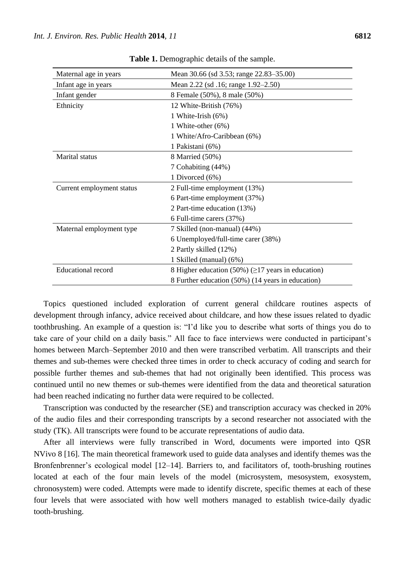| Maternal age in years     | Mean 30.66 (sd 3.53; range 22.83–35.00)                  |
|---------------------------|----------------------------------------------------------|
| Infant age in years       | Mean 2.22 (sd .16; range 1.92–2.50)                      |
| Infant gender             | 8 Female (50%), 8 male (50%)                             |
| Ethnicity                 | 12 White-British (76%)                                   |
|                           | 1 White-Irish $(6\%)$                                    |
|                           | 1 White-other (6%)                                       |
|                           | 1 White/Afro-Caribbean (6%)                              |
|                           | 1 Pakistani (6%)                                         |
| Marital status            | 8 Married (50%)                                          |
|                           | 7 Cohabiting (44%)                                       |
|                           | 1 Divorced (6%)                                          |
| Current employment status | 2 Full-time employment (13%)                             |
|                           | 6 Part-time employment (37%)                             |
|                           | 2 Part-time education (13%)                              |
|                           | 6 Full-time carers (37%)                                 |
| Maternal employment type  | 7 Skilled (non-manual) (44%)                             |
|                           | 6 Unemployed/full-time carer (38%)                       |
|                           | 2 Partly skilled (12%)                                   |
|                           | 1 Skilled (manual) (6%)                                  |
| <b>Educational record</b> | 8 Higher education (50%) ( $\geq$ 17 years in education) |
|                           | 8 Further education (50%) (14 years in education)        |

**Table 1.** Demographic details of the sample.

Topics questioned included exploration of current general childcare routines aspects of development through infancy, advice received about childcare, and how these issues related to dyadic toothbrushing. An example of a question is: "I'd like you to describe what sorts of things you do to take care of your child on a daily basis." All face to face interviews were conducted in participant's homes between March–September 2010 and then were transcribed verbatim. All transcripts and their themes and sub-themes were checked three times in order to check accuracy of coding and search for possible further themes and sub-themes that had not originally been identified. This process was continued until no new themes or sub-themes were identified from the data and theoretical saturation had been reached indicating no further data were required to be collected.

Transcription was conducted by the researcher (SE) and transcription accuracy was checked in 20% of the audio files and their corresponding transcripts by a second researcher not associated with the study (TK). All transcripts were found to be accurate representations of audio data.

After all interviews were fully transcribed in Word, documents were imported into QSR NVivo 8 [16]. The main theoretical framework used to guide data analyses and identify themes was the Bronfenbrenner's ecological model [12–14]. Barriers to, and facilitators of, tooth-brushing routines located at each of the four main levels of the model (microsystem, mesosystem, exosystem, chronosystem) were coded. Attempts were made to identify discrete, specific themes at each of these four levels that were associated with how well mothers managed to establish twice-daily dyadic tooth-brushing.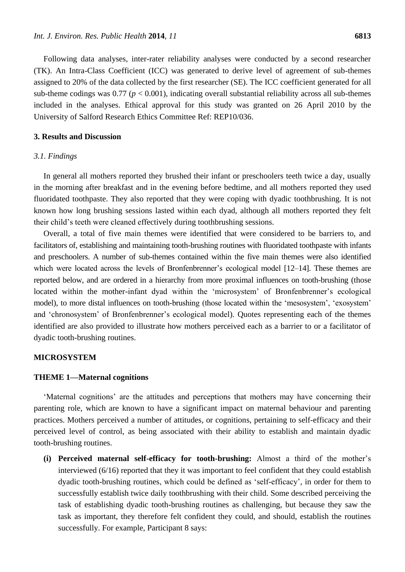Following data analyses, inter-rater reliability analyses were conducted by a second researcher (TK). An Intra-Class Coefficient (ICC) was generated to derive level of agreement of sub-themes assigned to 20% of the data collected by the first researcher (SE). The ICC coefficient generated for all sub-theme codings was  $0.77$  ( $p < 0.001$ ), indicating overall substantial reliability across all sub-themes included in the analyses. Ethical approval for this study was granted on 26 April 2010 by the University of Salford Research Ethics Committee Ref: REP10/036.

## **3. Results and Discussion**

## *3.1. Findings*

In general all mothers reported they brushed their infant or preschoolers teeth twice a day, usually in the morning after breakfast and in the evening before bedtime, and all mothers reported they used fluoridated toothpaste. They also reported that they were coping with dyadic toothbrushing. It is not known how long brushing sessions lasted within each dyad, although all mothers reported they felt their child's teeth were cleaned effectively during toothbrushing sessions.

Overall, a total of five main themes were identified that were considered to be barriers to, and facilitators of, establishing and maintaining tooth-brushing routines with fluoridated toothpaste with infants and preschoolers. A number of sub-themes contained within the five main themes were also identified which were located across the levels of Bronfenbrenner's ecological model [12–14]. These themes are reported below, and are ordered in a hierarchy from more proximal influences on tooth-brushing (those located within the mother-infant dyad within the 'microsystem' of Bronfenbrenner's ecological model), to more distal influences on tooth-brushing (those located within the 'mesosystem', 'exosystem' and 'chronosystem' of Bronfenbrenner's ecological model). Quotes representing each of the themes identified are also provided to illustrate how mothers perceived each as a barrier to or a facilitator of dyadic tooth-brushing routines.

## **MICROSYSTEM**

## **THEME 1—Maternal cognitions**

'Maternal cognitions' are the attitudes and perceptions that mothers may have concerning their parenting role, which are known to have a significant impact on maternal behaviour and parenting practices. Mothers perceived a number of attitudes, or cognitions, pertaining to self-efficacy and their perceived level of control, as being associated with their ability to establish and maintain dyadic tooth-brushing routines.

**(i) Perceived maternal self-efficacy for tooth-brushing:** Almost a third of the mother's interviewed (6/16) reported that they it was important to feel confident that they could establish dyadic tooth-brushing routines, which could be defined as 'self-efficacy', in order for them to successfully establish twice daily toothbrushing with their child. Some described perceiving the task of establishing dyadic tooth-brushing routines as challenging, but because they saw the task as important, they therefore felt confident they could, and should, establish the routines successfully. For example, Participant 8 says: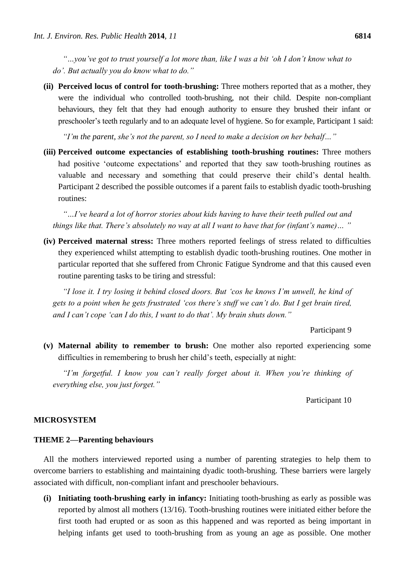*"…you've got to trust yourself a lot more than, like I was a bit 'oh I don't know what to do'. But actually you do know what to do."*

**(ii) Perceived locus of control for tooth-brushing:** Three mothers reported that as a mother, they were the individual who controlled tooth-brushing, not their child. Despite non-compliant behaviours, they felt that they had enough authority to ensure they brushed their infant or preschooler's teeth regularly and to an adequate level of hygiene. So for example, Participant 1 said:

*"I'm the parent, she's not the parent, so I need to make a decision on her behalf…"* 

**(iii) Perceived outcome expectancies of establishing tooth-brushing routines:** Three mothers had positive 'outcome expectations' and reported that they saw tooth-brushing routines as valuable and necessary and something that could preserve their child's dental health. Participant 2 described the possible outcomes if a parent fails to establish dyadic tooth-brushing routines:

*"…I've heard a lot of horror stories about kids having to have their teeth pulled out and things like that. There's absolutely no way at all I want to have that for (infant's name)… "* 

**(iv) Perceived maternal stress:** Three mothers reported feelings of stress related to difficulties they experienced whilst attempting to establish dyadic tooth-brushing routines. One mother in particular reported that she suffered from Chronic Fatigue Syndrome and that this caused even routine parenting tasks to be tiring and stressful:

*"I lose it. I try losing it behind closed doors. But 'cos he knows I'm unwell, he kind of gets to a point when he gets frustrated 'cos there's stuff we can't do. But I get brain tired, and I can't cope 'can I do this, I want to do that'. My brain shuts down."* 

## Participant 9

**(v) Maternal ability to remember to brush:** One mother also reported experiencing some difficulties in remembering to brush her child's teeth, especially at night:

*"I'm forgetful. I know you can't really forget about it. When you're thinking of everything else, you just forget."* 

## Participant 10

## **MICROSYSTEM**

## **THEME 2—Parenting behaviours**

All the mothers interviewed reported using a number of parenting strategies to help them to overcome barriers to establishing and maintaining dyadic tooth-brushing. These barriers were largely associated with difficult, non-compliant infant and preschooler behaviours.

**(i) Initiating tooth-brushing early in infancy:** Initiating tooth-brushing as early as possible was reported by almost all mothers (13/16). Tooth-brushing routines were initiated either before the first tooth had erupted or as soon as this happened and was reported as being important in helping infants get used to tooth-brushing from as young an age as possible. One mother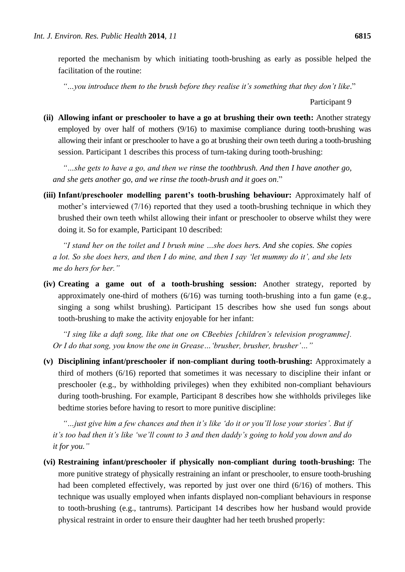reported the mechanism by which initiating tooth-brushing as early as possible helped the facilitation of the routine:

*"…you introduce them to the brush before they realise it's something that they don't like*."

## Participant 9

**(ii) Allowing infant or preschooler to have a go at brushing their own teeth:** Another strategy employed by over half of mothers (9/16) to maximise compliance during tooth-brushing was allowing their infant or preschooler to have a go at brushing their own teeth during a tooth-brushing session. Participant 1 describes this process of turn-taking during tooth-brushing:

*"…she gets to have a go, and then we rinse the toothbrush. And then I have another go, and she gets another go, and we rinse the tooth-brush and it goes on*."

**(iii) Infant/preschooler modelling parent's tooth-brushing behaviour:** Approximately half of mother's interviewed (7/16) reported that they used a tooth-brushing technique in which they brushed their own teeth whilst allowing their infant or preschooler to observe whilst they were doing it. So for example, Participant 10 described:

*"I stand her on the toilet and I brush mine …she does hers. And she copies. She copies a lot. So she does hers, and then I do mine, and then I say 'let mummy do it', and she lets me do hers for her."* 

**(iv) Creating a game out of a tooth-brushing session:** Another strategy, reported by approximately one-third of mothers (6/16) was turning tooth-brushing into a fun game (e.g., singing a song whilst brushing). Participant 15 describes how she used fun songs about tooth-brushing to make the activity enjoyable for her infant:

*"I sing like a daft song, like that one on CBeebies [children's television programme]. Or I do that song, you know the one in Grease…'brusher, brusher, brusher'…"*

**(v) Disciplining infant/preschooler if non-compliant during tooth-brushing:** Approximately a third of mothers (6/16) reported that sometimes it was necessary to discipline their infant or preschooler (e.g., by withholding privileges) when they exhibited non-compliant behaviours during tooth-brushing. For example, Participant 8 describes how she withholds privileges like bedtime stories before having to resort to more punitive discipline:

*"…just give him a few chances and then it's like 'do it or you'll lose your stories'. But if it's too bad then it's like 'we'll count to 3 and then daddy's going to hold you down and do it for you."* 

**(vi) Restraining infant/preschooler if physically non-compliant during tooth-brushing:** The more punitive strategy of physically restraining an infant or preschooler, to ensure tooth-brushing had been completed effectively, was reported by just over one third (6/16) of mothers. This technique was usually employed when infants displayed non-compliant behaviours in response to tooth-brushing (e.g., tantrums). Participant 14 describes how her husband would provide physical restraint in order to ensure their daughter had her teeth brushed properly: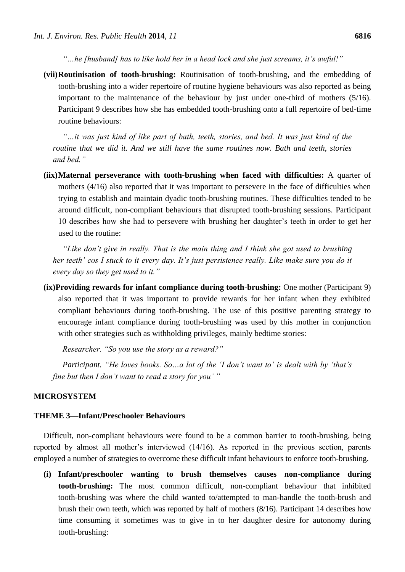*"…he [husband] has to like hold her in a head lock and she just screams, it's awful!"*

**(vii)Routinisation of tooth-brushing:** Routinisation of tooth-brushing, and the embedding of tooth-brushing into a wider repertoire of routine hygiene behaviours was also reported as being important to the maintenance of the behaviour by just under one-third of mothers (5/16). Participant 9 describes how she has embedded tooth-brushing onto a full repertoire of bed-time routine behaviours:

*"…it was just kind of like part of bath, teeth, stories, and bed. It was just kind of the routine that we did it. And we still have the same routines now. Bath and teeth, stories and bed."* 

**(iix)Maternal perseverance with tooth-brushing when faced with difficulties:** A quarter of mothers (4/16) also reported that it was important to persevere in the face of difficulties when trying to establish and maintain dyadic tooth-brushing routines. These difficulties tended to be around difficult, non-compliant behaviours that disrupted tooth-brushing sessions. Participant 10 describes how she had to persevere with brushing her daughter's teeth in order to get her used to the routine:

*"Like don't give in really. That is the main thing and I think she got used to brushing her teeth' cos I stuck to it every day. It's just persistence really. Like make sure you do it every day so they get used to it."*

**(ix)Providing rewards for infant compliance during tooth-brushing:** One mother (Participant 9) also reported that it was important to provide rewards for her infant when they exhibited compliant behaviours during tooth-brushing. The use of this positive parenting strategy to encourage infant compliance during tooth-brushing was used by this mother in conjunction with other strategies such as withholding privileges, mainly bedtime stories:

*Researcher. "So you use the story as a reward?"*

*Participant. "He loves books. So…a lot of the 'I don't want to' is dealt with by 'that's fine but then I don't want to read a story for you' "* 

## **MICROSYSTEM**

## **THEME 3—Infant/Preschooler Behaviours**

Difficult, non-compliant behaviours were found to be a common barrier to tooth-brushing, being reported by almost all mother's interviewed (14/16). As reported in the previous section, parents employed a number of strategies to overcome these difficult infant behaviours to enforce tooth-brushing.

**(i) Infant/preschooler wanting to brush themselves causes non-compliance during tooth-brushing:** The most common difficult, non-compliant behaviour that inhibited tooth-brushing was where the child wanted to/attempted to man-handle the tooth-brush and brush their own teeth, which was reported by half of mothers (8/16). Participant 14 describes how time consuming it sometimes was to give in to her daughter desire for autonomy during tooth-brushing: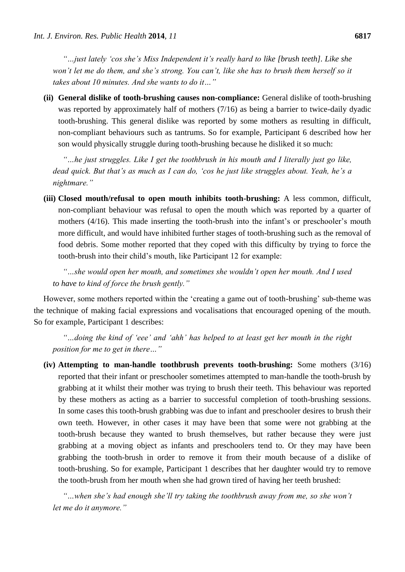*"…just lately 'cos she's Miss Independent it's really hard to like [brush teeth]. Like she won't let me do them, and she's strong. You can't, like she has to brush them herself so it takes about 10 minutes. And she wants to do it…"* 

**(ii) General dislike of tooth-brushing causes non-compliance:** General dislike of tooth-brushing was reported by approximately half of mothers (7/16) as being a barrier to twice-daily dyadic tooth-brushing. This general dislike was reported by some mothers as resulting in difficult, non-compliant behaviours such as tantrums. So for example, Participant 6 described how her son would physically struggle during tooth-brushing because he disliked it so much:

*"…he just struggles. Like I get the toothbrush in his mouth and I literally just go like, dead quick. But that's as much as I can do, 'cos he just like struggles about. Yeah, he's a nightmare."* 

**(iii) Closed mouth/refusal to open mouth inhibits tooth-brushing:** A less common, difficult, non-compliant behaviour was refusal to open the mouth which was reported by a quarter of mothers (4/16). This made inserting the tooth-brush into the infant's or preschooler's mouth more difficult, and would have inhibited further stages of tooth-brushing such as the removal of food debris. Some mother reported that they coped with this difficulty by trying to force the tooth-brush into their child's mouth, like Participant 12 for example:

*"…she would open her mouth, and sometimes she wouldn't open her mouth. And I used to have to kind of force the brush gently."* 

However, some mothers reported within the 'creating a game out of tooth-brushing' sub-theme was the technique of making facial expressions and vocalisations that encouraged opening of the mouth. So for example, Participant 1 describes:

*"…doing the kind of 'eee' and 'ahh' has helped to at least get her mouth in the right position for me to get in there…"*

**(iv) Attempting to man-handle toothbrush prevents tooth-brushing:** Some mothers (3/16) reported that their infant or preschooler sometimes attempted to man-handle the tooth-brush by grabbing at it whilst their mother was trying to brush their teeth. This behaviour was reported by these mothers as acting as a barrier to successful completion of tooth-brushing sessions. In some cases this tooth-brush grabbing was due to infant and preschooler desires to brush their own teeth. However, in other cases it may have been that some were not grabbing at the tooth-brush because they wanted to brush themselves, but rather because they were just grabbing at a moving object as infants and preschoolers tend to. Or they may have been grabbing the tooth-brush in order to remove it from their mouth because of a dislike of tooth-brushing. So for example, Participant 1 describes that her daughter would try to remove the tooth-brush from her mouth when she had grown tired of having her teeth brushed:

*"…when she's had enough she'll try taking the toothbrush away from me, so she won't let me do it anymore."*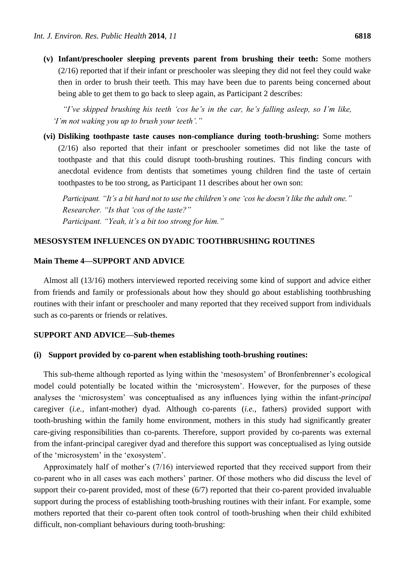**(v) Infant/preschooler sleeping prevents parent from brushing their teeth:** Some mothers (2/16) reported that if their infant or preschooler was sleeping they did not feel they could wake then in order to brush their teeth. This may have been due to parents being concerned about being able to get them to go back to sleep again, as Participant 2 describes:

*"I've skipped brushing his teeth 'cos he's in the car, he's falling asleep, so I'm like, 'I'm not waking you up to brush your teeth'."*

**(vi) Disliking toothpaste taste causes non-compliance during tooth-brushing:** Some mothers (2/16) also reported that their infant or preschooler sometimes did not like the taste of toothpaste and that this could disrupt tooth-brushing routines. This finding concurs with anecdotal evidence from dentists that sometimes young children find the taste of certain toothpastes to be too strong, as Participant 11 describes about her own son:

*Participant. "It's a bit hard not to use the children's one 'cos he doesn't like the adult one." Researcher. "Is that 'cos of the taste?" Participant. "Yeah, it's a bit too strong for him."* 

## **MESOSYSTEM INFLUENCES ON DYADIC TOOTHBRUSHING ROUTINES**

## **Main Theme 4—SUPPORT AND ADVICE**

Almost all (13/16) mothers interviewed reported receiving some kind of support and advice either from friends and family or professionals about how they should go about establishing toothbrushing routines with their infant or preschooler and many reported that they received support from individuals such as co-parents or friends or relatives.

## **SUPPORT AND ADVICE—Sub-themes**

## **(i) Support provided by co-parent when establishing tooth-brushing routines:**

This sub-theme although reported as lying within the 'mesosystem' of Bronfenbrenner's ecological model could potentially be located within the 'microsystem'. However, for the purposes of these analyses the 'microsystem' was conceptualised as any influences lying within the infant-*principal* caregiver (*i.e.*, infant-mother) dyad. Although co-parents (*i.e.*, fathers) provided support with tooth-brushing within the family home environment, mothers in this study had significantly greater care-giving responsibilities than co-parents. Therefore, support provided by co-parents was external from the infant-principal caregiver dyad and therefore this support was conceptualised as lying outside of the 'microsystem' in the 'exosystem'.

Approximately half of mother's (7/16) interviewed reported that they received support from their co-parent who in all cases was each mothers' partner. Of those mothers who did discuss the level of support their co-parent provided, most of these (6/7) reported that their co-parent provided invaluable support during the process of establishing tooth-brushing routines with their infant. For example, some mothers reported that their co-parent often took control of tooth-brushing when their child exhibited difficult, non-compliant behaviours during tooth-brushing: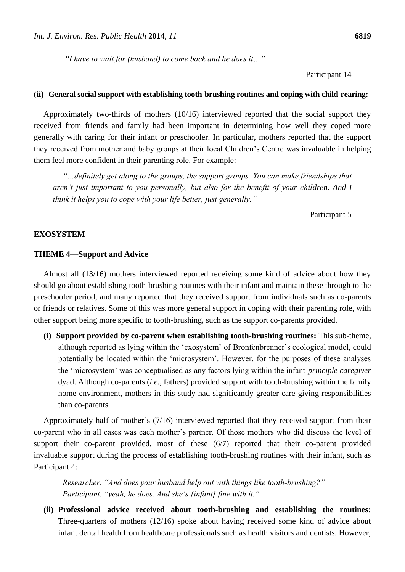*"I have to wait for (husband) to come back and he does it…"* 

Participant 14

## **(ii) General social support with establishing tooth-brushing routines and coping with child-rearing:**

Approximately two-thirds of mothers (10/16) interviewed reported that the social support they received from friends and family had been important in determining how well they coped more generally with caring for their infant or preschooler. In particular, mothers reported that the support they received from mother and baby groups at their local Children's Centre was invaluable in helping them feel more confident in their parenting role. For example:

*"…definitely get along to the groups, the support groups. You can make friendships that aren't just important to you personally, but also for the benefit of your children. And I think it helps you to cope with your life better, just generally."*

Participant 5

## **EXOSYSTEM**

## **THEME 4—Support and Advice**

Almost all (13/16) mothers interviewed reported receiving some kind of advice about how they should go about establishing tooth-brushing routines with their infant and maintain these through to the preschooler period, and many reported that they received support from individuals such as co-parents or friends or relatives. Some of this was more general support in coping with their parenting role, with other support being more specific to tooth-brushing, such as the support co-parents provided.

**(i) Support provided by co-parent when establishing tooth-brushing routines:** This sub-theme, although reported as lying within the 'exosystem' of Bronfenbrenner's ecological model, could potentially be located within the 'microsystem'. However, for the purposes of these analyses the 'microsystem' was conceptualised as any factors lying within the infant-*principle caregiver* dyad. Although co-parents (*i.e.*, fathers) provided support with tooth-brushing within the family home environment, mothers in this study had significantly greater care-giving responsibilities than co-parents.

Approximately half of mother's (7/16) interviewed reported that they received support from their co-parent who in all cases was each mother's partner. Of those mothers who did discuss the level of support their co-parent provided, most of these (6/7) reported that their co-parent provided invaluable support during the process of establishing tooth-brushing routines with their infant, such as Participant 4:

*Researcher. "And does your husband help out with things like tooth-brushing?" Participant. "yeah, he does. And she's [infant] fine with it."* 

**(ii) Professional advice received about tooth-brushing and establishing the routines:** Three-quarters of mothers (12/16) spoke about having received some kind of advice about infant dental health from healthcare professionals such as health visitors and dentists. However,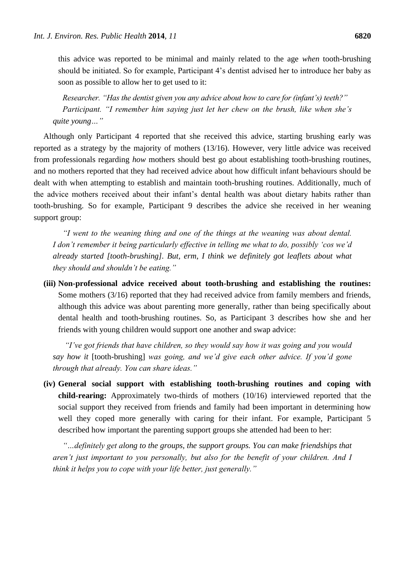this advice was reported to be minimal and mainly related to the age *when* tooth-brushing should be initiated. So for example, Participant 4's dentist advised her to introduce her baby as soon as possible to allow her to get used to it:

*Researcher. "Has the dentist given you any advice about how to care for (infant's) teeth?" Participant. "I remember him saying just let her chew on the brush, like when she's quite young…"* 

Although only Participant 4 reported that she received this advice, starting brushing early was reported as a strategy by the majority of mothers (13/16). However, very little advice was received from professionals regarding *how* mothers should best go about establishing tooth-brushing routines, and no mothers reported that they had received advice about how difficult infant behaviours should be dealt with when attempting to establish and maintain tooth-brushing routines. Additionally, much of the advice mothers received about their infant's dental health was about dietary habits rather than tooth-brushing. So for example, Participant 9 describes the advice she received in her weaning support group:

*"I went to the weaning thing and one of the things at the weaning was about dental. I don't remember it being particularly effective in telling me what to do, possibly 'cos we'd already started [tooth-brushing]. But, erm, I think we definitely got leaflets about what they should and shouldn't be eating."*

**(iii) Non-professional advice received about tooth-brushing and establishing the routines:** Some mothers (3/16) reported that they had received advice from family members and friends, although this advice was about parenting more generally, rather than being specifically about dental health and tooth-brushing routines. So, as Participant 3 describes how she and her friends with young children would support one another and swap advice:

*"I've got friends that have children, so they would say how it was going and you would say how it* [tooth-brushing] *was going, and we'd give each other advice. If you'd gone through that already. You can share ideas."* 

**(iv) General social support with establishing tooth-brushing routines and coping with child-rearing:** Approximately two-thirds of mothers (10/16) interviewed reported that the social support they received from friends and family had been important in determining how well they coped more generally with caring for their infant. For example, Participant 5 described how important the parenting support groups she attended had been to her:

*"…definitely get along to the groups, the support groups. You can make friendships that aren't just important to you personally, but also for the benefit of your children. And I think it helps you to cope with your life better, just generally."*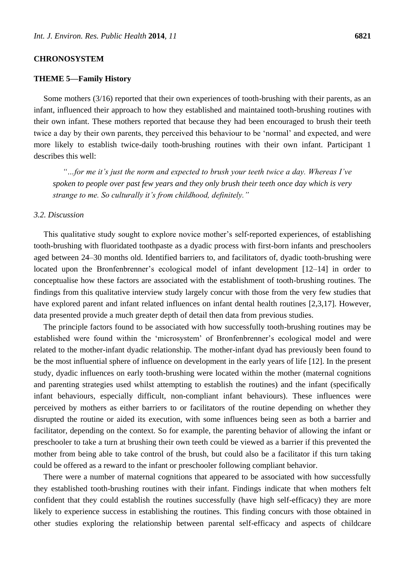## **CHRONOSYSTEM**

## **THEME 5—Family History**

Some mothers (3/16) reported that their own experiences of tooth-brushing with their parents, as an infant, influenced their approach to how they established and maintained tooth-brushing routines with their own infant. These mothers reported that because they had been encouraged to brush their teeth twice a day by their own parents, they perceived this behaviour to be 'normal' and expected, and were more likely to establish twice-daily tooth-brushing routines with their own infant. Participant 1 describes this well:

*"…for me it's just the norm and expected to brush your teeth twice a day. Whereas I've spoken to people over past few years and they only brush their teeth once day which is very strange to me. So culturally it's from childhood, definitely."*

## *3.2. Discussion*

This qualitative study sought to explore novice mother's self-reported experiences, of establishing tooth-brushing with fluoridated toothpaste as a dyadic process with first-born infants and preschoolers aged between 24–30 months old. Identified barriers to, and facilitators of, dyadic tooth-brushing were located upon the Bronfenbrenner's ecological model of infant development [12–14] in order to conceptualise how these factors are associated with the establishment of tooth-brushing routines. The findings from this qualitative interview study largely concur with those from the very few studies that have explored parent and infant related influences on infant dental health routines [2,3,17]. However, data presented provide a much greater depth of detail then data from previous studies.

The principle factors found to be associated with how successfully tooth-brushing routines may be established were found within the 'microsystem' of Bronfenbrenner's ecological model and were related to the mother-infant dyadic relationship. The mother-infant dyad has previously been found to be the most influential sphere of influence on development in the early years of life [12]. In the present study, dyadic influences on early tooth-brushing were located within the mother (maternal cognitions and parenting strategies used whilst attempting to establish the routines) and the infant (specifically infant behaviours, especially difficult, non-compliant infant behaviours). These influences were perceived by mothers as either barriers to or facilitators of the routine depending on whether they disrupted the routine or aided its execution, with some influences being seen as both a barrier and facilitator, depending on the context. So for example, the parenting behavior of allowing the infant or preschooler to take a turn at brushing their own teeth could be viewed as a barrier if this prevented the mother from being able to take control of the brush, but could also be a facilitator if this turn taking could be offered as a reward to the infant or preschooler following compliant behavior.

There were a number of maternal cognitions that appeared to be associated with how successfully they established tooth-brushing routines with their infant. Findings indicate that when mothers felt confident that they could establish the routines successfully (have high self-efficacy) they are more likely to experience success in establishing the routines. This finding concurs with those obtained in other studies exploring the relationship between parental self-efficacy and aspects of childcare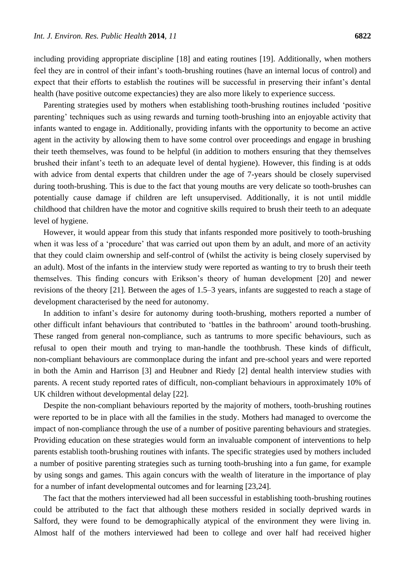including providing appropriate discipline [18] and eating routines [19]. Additionally, when mothers feel they are in control of their infant's tooth-brushing routines (have an internal locus of control) and expect that their efforts to establish the routines will be successful in preserving their infant's dental health (have positive outcome expectancies) they are also more likely to experience success.

Parenting strategies used by mothers when establishing tooth-brushing routines included 'positive parenting' techniques such as using rewards and turning tooth-brushing into an enjoyable activity that infants wanted to engage in. Additionally, providing infants with the opportunity to become an active agent in the activity by allowing them to have some control over proceedings and engage in brushing their teeth themselves, was found to be helpful (in addition to mothers ensuring that they themselves brushed their infant's teeth to an adequate level of dental hygiene). However, this finding is at odds with advice from dental experts that children under the age of 7-years should be closely supervised during tooth-brushing. This is due to the fact that young mouths are very delicate so tooth-brushes can potentially cause damage if children are left unsupervised. Additionally, it is not until middle childhood that children have the motor and cognitive skills required to brush their teeth to an adequate level of hygiene.

However, it would appear from this study that infants responded more positively to tooth-brushing when it was less of a 'procedure' that was carried out upon them by an adult, and more of an activity that they could claim ownership and self-control of (whilst the activity is being closely supervised by an adult). Most of the infants in the interview study were reported as wanting to try to brush their teeth themselves. This finding concurs with Erikson's theory of human development [20] and newer revisions of the theory [21]. Between the ages of 1.5–3 years, infants are suggested to reach a stage of development characterised by the need for autonomy.

In addition to infant's desire for autonomy during tooth-brushing, mothers reported a number of other difficult infant behaviours that contributed to 'battles in the bathroom' around tooth-brushing. These ranged from general non-compliance, such as tantrums to more specific behaviours, such as refusal to open their mouth and trying to man-handle the toothbrush. These kinds of difficult, non-compliant behaviours are commonplace during the infant and pre-school years and were reported in both the Amin and Harrison [3] and Heubner and Riedy [2] dental health interview studies with parents. A recent study reported rates of difficult, non-compliant behaviours in approximately 10% of UK children without developmental delay [22].

Despite the non-compliant behaviours reported by the majority of mothers, tooth-brushing routines were reported to be in place with all the families in the study. Mothers had managed to overcome the impact of non-compliance through the use of a number of positive parenting behaviours and strategies. Providing education on these strategies would form an invaluable component of interventions to help parents establish tooth-brushing routines with infants. The specific strategies used by mothers included a number of positive parenting strategies such as turning tooth-brushing into a fun game, for example by using songs and games. This again concurs with the wealth of literature in the importance of play for a number of infant developmental outcomes and for learning [23,24].

The fact that the mothers interviewed had all been successful in establishing tooth-brushing routines could be attributed to the fact that although these mothers resided in socially deprived wards in Salford, they were found to be demographically atypical of the environment they were living in. Almost half of the mothers interviewed had been to college and over half had received higher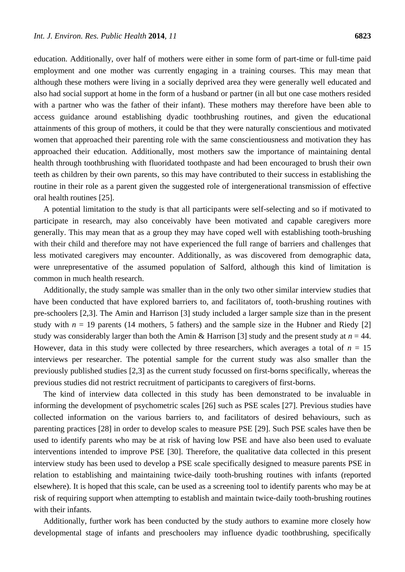education. Additionally, over half of mothers were either in some form of part-time or full-time paid employment and one mother was currently engaging in a training courses. This may mean that although these mothers were living in a socially deprived area they were generally well educated and also had social support at home in the form of a husband or partner (in all but one case mothers resided with a partner who was the father of their infant). These mothers may therefore have been able to access guidance around establishing dyadic toothbrushing routines, and given the educational attainments of this group of mothers, it could be that they were naturally conscientious and motivated women that approached their parenting role with the same conscientiousness and motivation they has approached their education. Additionally, most mothers saw the importance of maintaining dental health through toothbrushing with fluoridated toothpaste and had been encouraged to brush their own teeth as children by their own parents, so this may have contributed to their success in establishing the routine in their role as a parent given the suggested role of intergenerational transmission of effective oral health routines [25].

A potential limitation to the study is that all participants were self-selecting and so if motivated to participate in research, may also conceivably have been motivated and capable caregivers more generally. This may mean that as a group they may have coped well with establishing tooth-brushing with their child and therefore may not have experienced the full range of barriers and challenges that less motivated caregivers may encounter. Additionally, as was discovered from demographic data, were unrepresentative of the assumed population of Salford, although this kind of limitation is common in much health research.

Additionally, the study sample was smaller than in the only two other similar interview studies that have been conducted that have explored barriers to, and facilitators of, tooth-brushing routines with pre-schoolers [2,3]. The Amin and Harrison [3] study included a larger sample size than in the present study with  $n = 19$  parents (14 mothers, 5 fathers) and the sample size in the Hubner and Riedy [2] study was considerably larger than both the Amin & Harrison [3] study and the present study at  $n = 44$ . However, data in this study were collected by three researchers, which averages a total of  $n = 15$ interviews per researcher. The potential sample for the current study was also smaller than the previously published studies [2,3] as the current study focussed on first-borns specifically, whereas the previous studies did not restrict recruitment of participants to caregivers of first-borns.

The kind of interview data collected in this study has been demonstrated to be invaluable in informing the development of psychometric scales [26] such as PSE scales [27]. Previous studies have collected information on the various barriers to, and facilitators of desired behaviours, such as parenting practices [28] in order to develop scales to measure PSE [29]. Such PSE scales have then be used to identify parents who may be at risk of having low PSE and have also been used to evaluate interventions intended to improve PSE [30]. Therefore, the qualitative data collected in this present interview study has been used to develop a PSE scale specifically designed to measure parents PSE in relation to establishing and maintaining twice-daily tooth-brushing routines with infants (reported elsewhere). It is hoped that this scale, can be used as a screening tool to identify parents who may be at risk of requiring support when attempting to establish and maintain twice-daily tooth-brushing routines with their infants.

Additionally, further work has been conducted by the study authors to examine more closely how developmental stage of infants and preschoolers may influence dyadic toothbrushing, specifically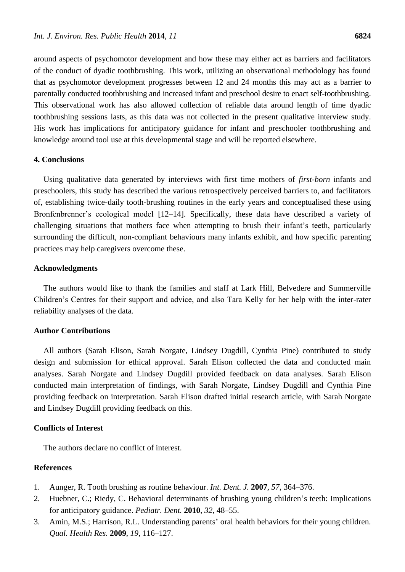around aspects of psychomotor development and how these may either act as barriers and facilitators of the conduct of dyadic toothbrushing. This work, utilizing an observational methodology has found that as psychomotor development progresses between 12 and 24 months this may act as a barrier to parentally conducted toothbrushing and increased infant and preschool desire to enact self-toothbrushing. This observational work has also allowed collection of reliable data around length of time dyadic toothbrushing sessions lasts, as this data was not collected in the present qualitative interview study. His work has implications for anticipatory guidance for infant and preschooler toothbrushing and knowledge around tool use at this developmental stage and will be reported elsewhere.

## **4. Conclusions**

Using qualitative data generated by interviews with first time mothers of *first-born* infants and preschoolers, this study has described the various retrospectively perceived barriers to, and facilitators of, establishing twice-daily tooth-brushing routines in the early years and conceptualised these using Bronfenbrenner's ecological model [12–14]. Specifically, these data have described a variety of challenging situations that mothers face when attempting to brush their infant's teeth, particularly surrounding the difficult, non-compliant behaviours many infants exhibit, and how specific parenting practices may help caregivers overcome these.

## **Acknowledgments**

The authors would like to thank the families and staff at Lark Hill, Belvedere and Summerville Children's Centres for their support and advice, and also Tara Kelly for her help with the inter-rater reliability analyses of the data.

## **Author Contributions**

All authors (Sarah Elison, Sarah Norgate, Lindsey Dugdill, Cynthia Pine) contributed to study design and submission for ethical approval. Sarah Elison collected the data and conducted main analyses. Sarah Norgate and Lindsey Dugdill provided feedback on data analyses. Sarah Elison conducted main interpretation of findings, with Sarah Norgate, Lindsey Dugdill and Cynthia Pine providing feedback on interpretation. Sarah Elison drafted initial research article, with Sarah Norgate and Lindsey Dugdill providing feedback on this.

## **Conflicts of Interest**

The authors declare no conflict of interest.

## **References**

- 1. Aunger, R. Tooth brushing as routine behaviour. *Int. Dent. J.* **2007**, *57*, 364–376.
- 2. Huebner, C.; Riedy, C. Behavioral determinants of brushing young children's teeth: Implications for anticipatory guidance. *Pediatr. Dent.* **2010**, *32*, 48–55.
- 3. Amin, M.S.; Harrison, R.L. Understanding parents' oral health behaviors for their young children. *Qual. Health Res.* **2009**, *19*, 116–127.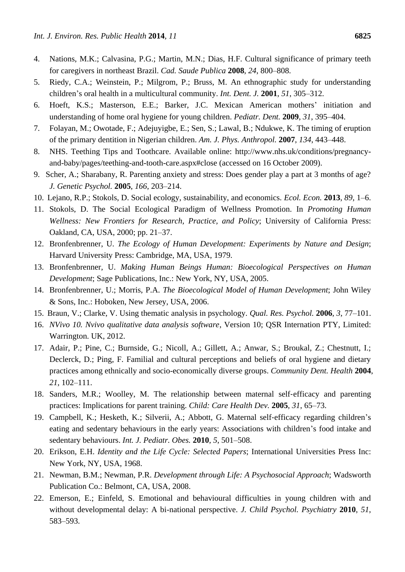- 4. Nations, M.K.; Calvasina, P.G.; Martin, M.N.; Dias, H.F. Cultural significance of primary teeth for caregivers in northeast Brazil. *Cad. Saude Publica* **2008**, *24*, 800–808.
- 5. Riedy, C.A.; Weinstein, P.; Milgrom, P.; Bruss, M. An ethnographic study for understanding children's oral health in a multicultural community. *Int. Dent. J.* **2001**, *51*, 305–312.
- 6. Hoeft, K.S.; Masterson, E.E.; Barker, J.C. Mexican American mothers' initiation and understanding of home oral hygiene for young children. *Pediatr. Dent.* **2009**, *31*, 395–404.
- 7. Folayan, M.; Owotade, F.; Adejuyigbe, E.; Sen, S.; Lawal, B.; Ndukwe, K. The timing of eruption of the primary dentition in Nigerian children. *Am. J. Phys. Anthropol.* **2007**, *134*, 443–448.
- 8. NHS. Teething Tips and Toothcare. Available online: http://www.nhs.uk/conditions/pregnancyand-baby/pages/teething-and-tooth-care.aspx#close (accessed on 16 October 2009).
- 9. Scher, A.; Sharabany, R. Parenting anxiety and stress: Does gender play a part at 3 months of age? *J. Genetic Psychol.* **2005**, *166*, 203–214.
- 10. Lejano, R.P.; Stokols, D. Social ecology, sustainability, and economics. *Ecol. Econ.* **2013**, *89*, 1–6.
- 11. Stokols, D. The Social Ecological Paradigm of Wellness Promotion. In *Promoting Human Wellness: New Frontiers for Research, Practice, and Policy*; University of California Press: Oakland, CA, USA, 2000; pp. 21–37.
- 12. Bronfenbrenner, U. *The Ecology of Human Development: Experiments by Nature and Design*; Harvard University Press: Cambridge, MA, USA, 1979.
- 13. Bronfenbrenner, U. *Making Human Beings Human: Bioecological Perspectives on Human Development*; Sage Publications, Inc.: New York, NY, USA, 2005.
- 14. Bronfenbrenner, U.; Morris, P.A. *The Bioecological Model of Human Development*; John Wiley & Sons, Inc.: Hoboken, New Jersey, USA, 2006.
- 15. Braun, V.; Clarke, V. Using thematic analysis in psychology. *Qual. Res. Psychol.* **2006**, *3*, 77–101.
- 16. *NVivo 10. Nvivo qualitative data analysis software*, Version 10; QSR Internation PTY, Limited: Warrington. UK, 2012.
- 17. Adair, P.; Pine, C.; Burnside, G.; Nicoll, A.; Gillett, A.; Anwar, S.; Broukal, Z.; Chestnutt, I.; Declerck, D.; Ping, F. Familial and cultural perceptions and beliefs of oral hygiene and dietary practices among ethnically and socio-economically diverse groups. *Community Dent. Health* **2004**, *21*, 102–111.
- 18. Sanders, M.R.; Woolley, M. The relationship between maternal self‐efficacy and parenting practices: Implications for parent training. *Child: Care Health Dev.* **2005**, *31*, 65–73.
- 19. Campbell, K.; Hesketh, K.; Silverii, A.; Abbott, G. Maternal self‐efficacy regarding children's eating and sedentary behaviours in the early years: Associations with children's food intake and sedentary behaviours. *Int. J. Pediatr. Obes.* **2010**, *5*, 501–508.
- 20. Erikson, E.H. *Identity and the Life Cycle: Selected Papers*; International Universities Press Inc: New York, NY, USA, 1968.
- 21. Newman, B.M.; Newman, P.R. *Development through Life: A Psychosocial Approach*; Wadsworth Publication Co.: Belmont, CA, USA, 2008.
- 22. Emerson, E.; Einfeld, S. Emotional and behavioural difficulties in young children with and without developmental delay: A bi-national perspective. *J. Child Psychol. Psychiatry* **2010**, *51*, 583–593.